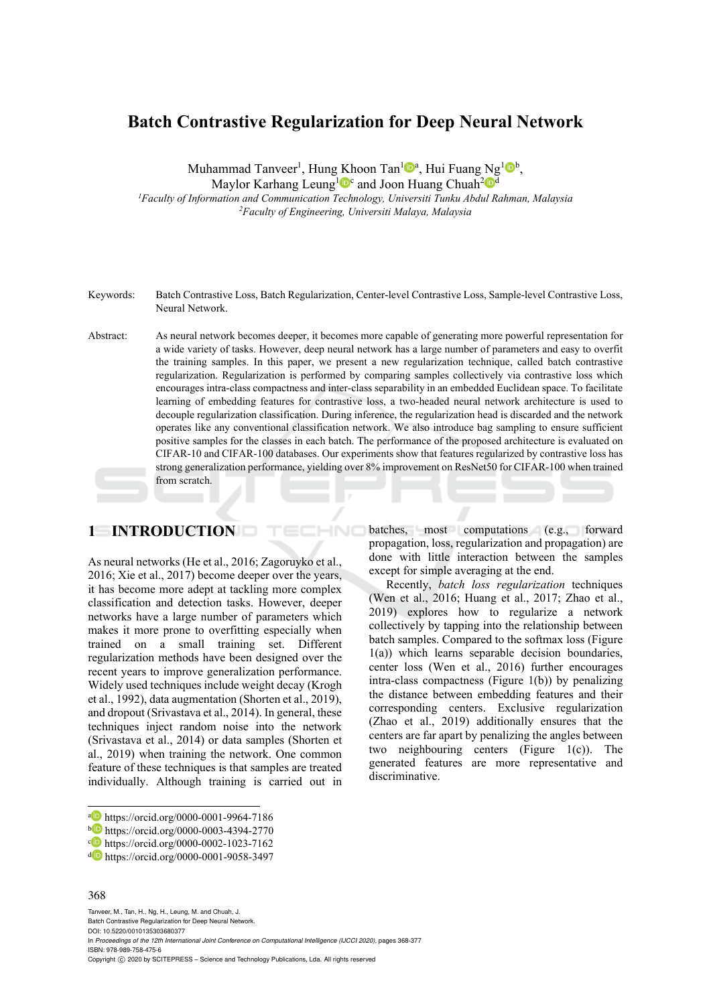# **Batch Contrastive Regularization for Deep Neural Network**

Muhammad Tanveer<sup>1</sup>, Hung Khoon Tan<sup>1</sup><sup>®</sup>, Hui Fuang Ng<sup>1</sup><sup>®</sup>,

Maylor Karhang Leung<sup>1</sup><sup>o</sup> and Joon Huang Chuah<sup>2</sup><sup>od</sup>

*1Faculty of Information and Communication Technology, Universiti Tunku Abdul Rahman, Malaysia 2Faculty of Engineering, Universiti Malaya, Malaysia* 

- Keywords: Batch Contrastive Loss, Batch Regularization, Center-level Contrastive Loss, Sample-level Contrastive Loss, Neural Network.
- Abstract: As neural network becomes deeper, it becomes more capable of generating more powerful representation for a wide variety of tasks. However, deep neural network has a large number of parameters and easy to overfit the training samples. In this paper, we present a new regularization technique, called batch contrastive regularization. Regularization is performed by comparing samples collectively via contrastive loss which encourages intra-class compactness and inter-class separability in an embedded Euclidean space. To facilitate learning of embedding features for contrastive loss, a two-headed neural network architecture is used to decouple regularization classification. During inference, the regularization head is discarded and the network operates like any conventional classification network. We also introduce bag sampling to ensure sufficient positive samples for the classes in each batch. The performance of the proposed architecture is evaluated on CIFAR-10 and CIFAR-100 databases. Our experiments show that features regularized by contrastive loss has strong generalization performance, yielding over 8% improvement on ResNet50 for CIFAR-100 when trained from scratch.

HNC

### **1 INTRODUCTION**

As neural networks (He et al., 2016; Zagoruyko et al., 2016; Xie et al., 2017) become deeper over the years, it has become more adept at tackling more complex classification and detection tasks. However, deeper networks have a large number of parameters which makes it more prone to overfitting especially when trained on a small training set. Different regularization methods have been designed over the recent years to improve generalization performance. Widely used techniques include weight decay (Krogh et al., 1992), data augmentation (Shorten et al., 2019), and dropout (Srivastava et al., 2014). In general, these techniques inject random noise into the network (Srivastava et al., 2014) or data samples (Shorten et al., 2019) when training the network. One common feature of these techniques is that samples are treated individually. Although training is carried out in

#### 368

Tanveer, M., Tan, H., Ng, H., Leung, M. and Chuah, J. Batch Contrastive Regularization for Deep Neural Network. DOI: 10.5220/0010135303680377 In *Proceedings of the 12th International Joint Conference on Computational Intelligence (IJCCI 2020)*, pages 368-377 ISBN: 978-989-758-475-6 Copyright © 2020 by SCITEPRESS - Science and Technology Publications, Lda. All rights reserved

batches, most computations (e.g., forward propagation, loss, regularization and propagation) are done with little interaction between the samples except for simple averaging at the end.

Recently, *batch loss regularization* techniques (Wen et al., 2016; Huang et al., 2017; Zhao et al., 2019) explores how to regularize a network collectively by tapping into the relationship between batch samples. Compared to the softmax loss (Figure 1(a)) which learns separable decision boundaries, center loss (Wen et al., 2016) further encourages intra-class compactness (Figure 1(b)) by penalizing the distance between embedding features and their corresponding centers. Exclusive regularization (Zhao et al., 2019) additionally ensures that the centers are far apart by penalizing the angles between two neighbouring centers (Figure 1(c)). The generated features are more representative and discriminative.

a https://orcid.org/0000-0001-9964-7186<br>
b https://orcid.org/0000-0003-4394-2770<br>
c https://orcid.org/0000-0002-1023-7162<br>
d https://orcid.org/0000-0001-9058-3497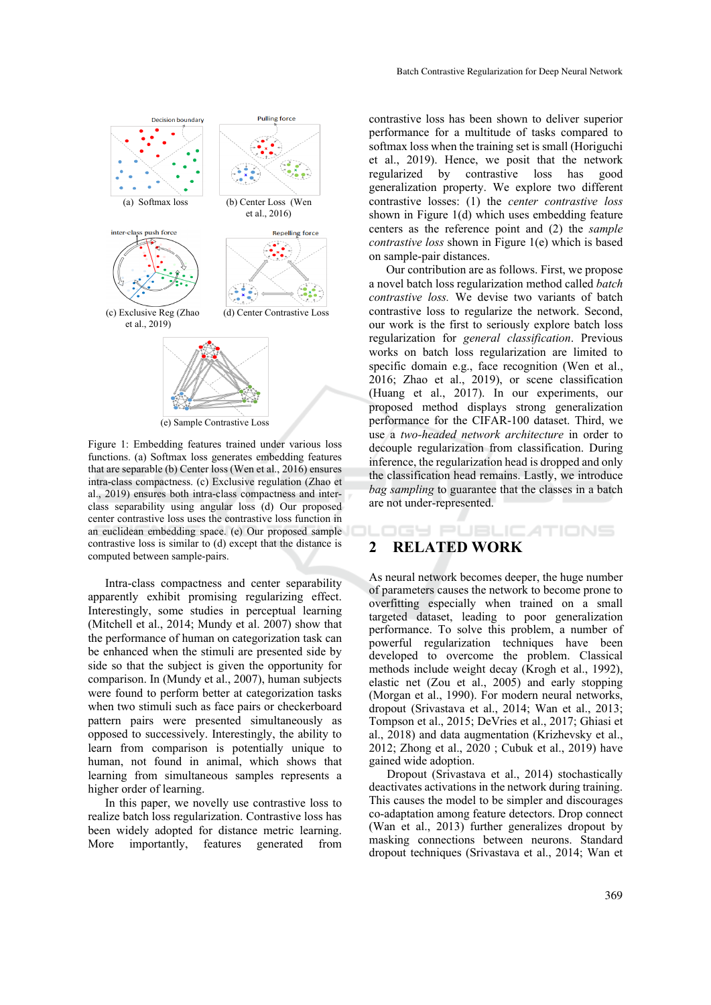

Figure 1: Embedding features trained under various loss functions. (a) Softmax loss generates embedding features that are separable (b) Center loss (Wen et al., 2016) ensures intra-class compactness. (c) Exclusive regulation (Zhao et al., 2019) ensures both intra-class compactness and interclass separability using angular loss (d) Our proposed center contrastive loss uses the contrastive loss function in an euclidean embedding space. (e) Our proposed sample contrastive loss is similar to (d) except that the distance is computed between sample-pairs.

Intra-class compactness and center separability apparently exhibit promising regularizing effect. Interestingly, some studies in perceptual learning (Mitchell et al., 2014; Mundy et al. 2007) show that the performance of human on categorization task can be enhanced when the stimuli are presented side by side so that the subject is given the opportunity for comparison. In (Mundy et al., 2007), human subjects were found to perform better at categorization tasks when two stimuli such as face pairs or checkerboard pattern pairs were presented simultaneously as opposed to successively. Interestingly, the ability to learn from comparison is potentially unique to human, not found in animal, which shows that learning from simultaneous samples represents a higher order of learning.

In this paper, we novelly use contrastive loss to realize batch loss regularization. Contrastive loss has been widely adopted for distance metric learning. More importantly, features generated from

contrastive loss has been shown to deliver superior performance for a multitude of tasks compared to softmax loss when the training set is small (Horiguchi et al., 2019). Hence, we posit that the network regularized by contrastive loss has good generalization property. We explore two different contrastive losses: (1) the *center contrastive loss* shown in Figure 1(d) which uses embedding feature centers as the reference point and (2) the *sample contrastive loss* shown in Figure 1(e) which is based on sample-pair distances.

Our contribution are as follows. First, we propose a novel batch loss regularization method called *batch contrastive loss.* We devise two variants of batch contrastive loss to regularize the network. Second, our work is the first to seriously explore batch loss regularization for *general classification*. Previous works on batch loss regularization are limited to specific domain e.g., face recognition (Wen et al., 2016; Zhao et al., 2019), or scene classification (Huang et al., 2017). In our experiments, our proposed method displays strong generalization performance for the CIFAR-100 dataset. Third, we use a *two-headed network architecture* in order to decouple regularization from classification. During inference, the regularization head is dropped and only the classification head remains. Lastly, we introduce *bag sampling* to guarantee that the classes in a batch are not under-represented.

**DGY PUBLICATIONS** 

### **2 RELATED WORK**

As neural network becomes deeper, the huge number of parameters causes the network to become prone to overfitting especially when trained on a small targeted dataset, leading to poor generalization performance. To solve this problem, a number of powerful regularization techniques have been developed to overcome the problem. Classical methods include weight decay (Krogh et al., 1992), elastic net (Zou et al., 2005) and early stopping (Morgan et al., 1990). For modern neural networks, dropout (Srivastava et al., 2014; Wan et al., 2013; Tompson et al., 2015; DeVries et al., 2017; Ghiasi et al., 2018) and data augmentation (Krizhevsky et al., 2012; Zhong et al., 2020 ; Cubuk et al., 2019) have gained wide adoption.

Dropout (Srivastava et al., 2014) stochastically deactivates activations in the network during training. This causes the model to be simpler and discourages co-adaptation among feature detectors. Drop connect (Wan et al., 2013) further generalizes dropout by masking connections between neurons. Standard dropout techniques (Srivastava et al., 2014; Wan et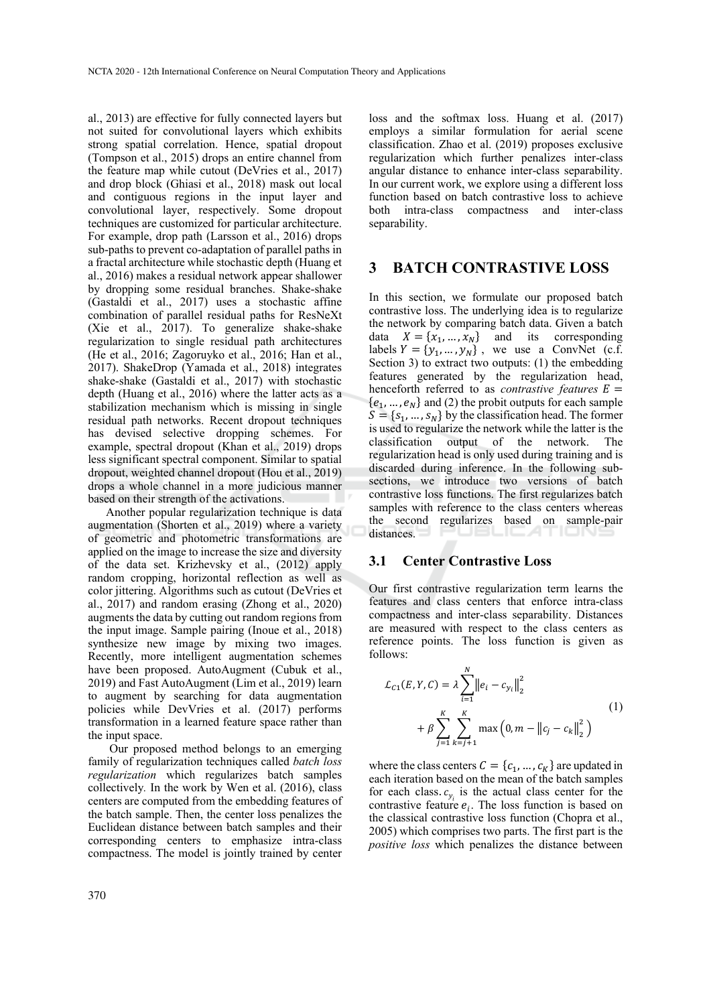al., 2013) are effective for fully connected layers but not suited for convolutional layers which exhibits strong spatial correlation. Hence, spatial dropout (Tompson et al., 2015) drops an entire channel from the feature map while cutout (DeVries et al., 2017) and drop block (Ghiasi et al., 2018) mask out local and contiguous regions in the input layer and convolutional layer, respectively. Some dropout techniques are customized for particular architecture. For example, drop path (Larsson et al., 2016) drops sub-paths to prevent co-adaptation of parallel paths in a fractal architecture while stochastic depth (Huang et al., 2016) makes a residual network appear shallower by dropping some residual branches. Shake-shake (Gastaldi et al., 2017) uses a stochastic affine combination of parallel residual paths for ResNeXt (Xie et al., 2017). To generalize shake-shake regularization to single residual path architectures (He et al., 2016; Zagoruyko et al., 2016; Han et al., 2017). ShakeDrop (Yamada et al., 2018) integrates shake-shake (Gastaldi et al., 2017) with stochastic depth (Huang et al., 2016) where the latter acts as a stabilization mechanism which is missing in single residual path networks. Recent dropout techniques has devised selective dropping schemes. For example, spectral dropout (Khan et al., 2019) drops less significant spectral component. Similar to spatial dropout, weighted channel dropout (Hou et al., 2019) drops a whole channel in a more judicious manner based on their strength of the activations.

Another popular regularization technique is data augmentation (Shorten et al., 2019) where a variety of geometric and photometric transformations are applied on the image to increase the size and diversity of the data set. Krizhevsky et al., (2012) apply random cropping, horizontal reflection as well as color jittering. Algorithms such as cutout (DeVries et al., 2017) and random erasing (Zhong et al., 2020) augments the data by cutting out random regions from the input image. Sample pairing (Inoue et al., 2018) synthesize new image by mixing two images. Recently, more intelligent augmentation schemes have been proposed. AutoAugment (Cubuk et al., 2019) and Fast AutoAugment (Lim et al., 2019) learn to augment by searching for data augmentation policies while DevVries et al. (2017) performs transformation in a learned feature space rather than the input space.

Our proposed method belongs to an emerging family of regularization techniques called *batch loss regularization* which regularizes batch samples collectively*.* In the work by Wen et al. (2016), class centers are computed from the embedding features of the batch sample. Then, the center loss penalizes the Euclidean distance between batch samples and their corresponding centers to emphasize intra-class compactness. The model is jointly trained by center

loss and the softmax loss. Huang et al. (2017) employs a similar formulation for aerial scene classification. Zhao et al. (2019) proposes exclusive regularization which further penalizes inter-class angular distance to enhance inter-class separability. In our current work, we explore using a different loss function based on batch contrastive loss to achieve both intra-class compactness and inter-class separability.

### **3 BATCH CONTRASTIVE LOSS**

In this section, we formulate our proposed batch contrastive loss. The underlying idea is to regularize the network by comparing batch data. Given a batch data  $X = \{x_1, ..., x_N\}$  and its corresponding labels  $Y = \{y_1, ..., y_N\}$ , we use a ConvNet (c.f. Section 3) to extract two outputs: (1) the embedding features generated by the regularization head, henceforth referred to as *contrastive features*  $E =$  $\{e_1, ..., e_N\}$  and (2) the probit outputs for each sample  $S = \{s_1, ..., s_N\}$  by the classification head. The former is used to regularize the network while the latter is the classification output of the network. The regularization head is only used during training and is discarded during inference. In the following subsections, we introduce two versions of batch contrastive loss functions. The first regularizes batch samples with reference to the class centers whereas the second regularizes based on sample-pair distances.

#### **3.1 Center Contrastive Loss**

Our first contrastive regularization term learns the features and class centers that enforce intra-class compactness and inter-class separability. Distances are measured with respect to the class centers as reference points. The loss function is given as follows:

$$
\mathcal{L}_{C1}(E, Y, C) = \lambda \sum_{i=1}^{N} ||e_i - c_{y_i}||_2^2
$$
  
+  $\beta \sum_{j=1}^{K} \sum_{k=j+1}^{K} \max (0, m - ||c_j - c_k||_2^2)$  (1)

where the class centers  $C = \{c_1, ..., c_K\}$  are updated in each iteration based on the mean of the batch samples for each class.  $c_{y_i}$  is the actual class center for the contrastive feature  $e_i$ . The loss function is based on the classical contrastive loss function (Chopra et al., 2005) which comprises two parts. The first part is the *positive loss* which penalizes the distance between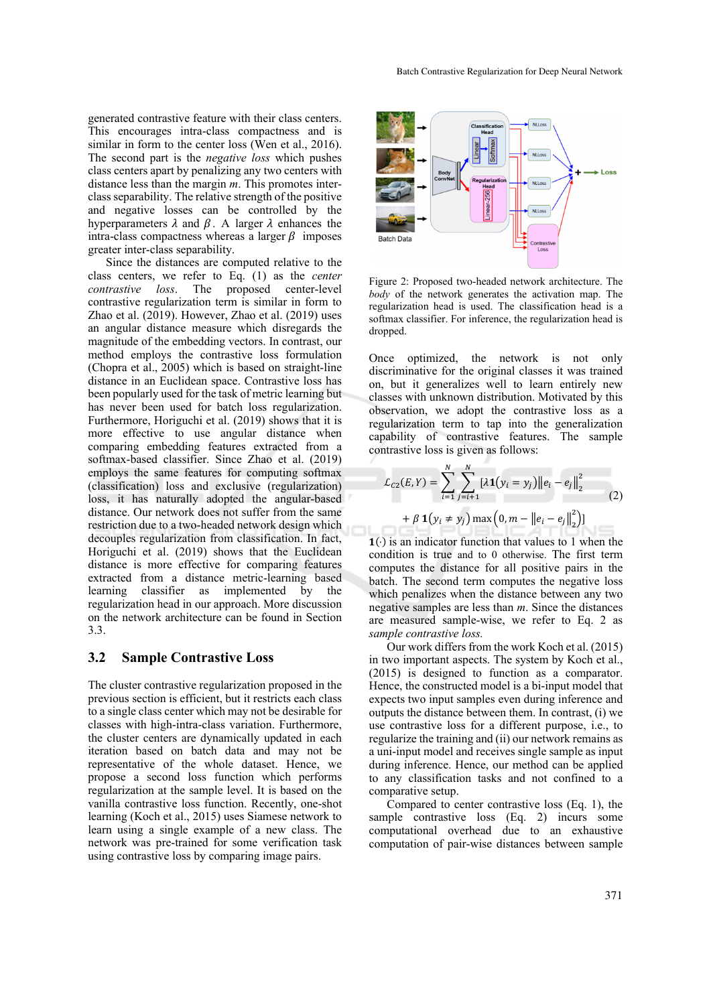generated contrastive feature with their class centers. This encourages intra-class compactness and is similar in form to the center loss (Wen et al.,  $2016$ ). The second part is the *negative loss* which pushes class centers apart by penalizing any two centers with distance less than the margin *m*. This promotes interclass separability. The relative strength of the positive and negative losses can be controlled by the hyperparameters  $\lambda$  and  $\beta$ . A larger  $\lambda$  enhances the intra-class compactness whereas a larger  $\beta$  imposes greater inter-class separability.

Since the distances are computed relative to the class centers, we refer to Eq. (1) as the *center loss*. The proposed center-level contrastive regularization term is similar in form to Zhao et al.  $(2019)$ . However, Zhao et al.  $(2019)$  uses an angular distance measure which disregards the magnitude of the embedding vectors. In contrast, our method employs the contrastive loss formulation (Chopra et al., 2005) which is based on straight-line distance in an Euclidean space. Contrastive loss has been popularly used for the task of metric learning but has never been used for batch loss regularization. Furthermore, Horiguchi et al. (2019) shows that it is more effective to use angular distance when comparing embedding features extracted from a softmax-based classifier. Since Zhao et al. (2019) employs the same features for computing softmax (classification) loss and exclusive (regularization) loss, it has naturally adopted the angular-based distance. Our network does not suffer from the same restriction due to a two-headed network design which decouples regularization from classification. In fact, Horiguchi et al. (2019) shows that the Euclidean distance is more effective for comparing features extracted from a distance metric-learning based learning classifier as implemented by the regularization head in our approach. More discussion on the network architecture can be found in Section 3.3.

#### **3.2 Sample Contrastive Loss**

The cluster contrastive regularization proposed in the previous section is efficient, but it restricts each class to a single class center which may not be desirable for classes with high-intra-class variation. Furthermore, the cluster centers are dynamically updated in each iteration based on batch data and may not be representative of the whole dataset. Hence, we propose a second loss function which performs regularization at the sample level. It is based on the vanilla contrastive loss function. Recently, one-shot learning (Koch et al., 2015) uses Siamese network to learn using a single example of a new class. The network was pre-trained for some verification task using contrastive loss by comparing image pairs.



Figure 2: Proposed two-headed network architecture. The *body* of the network generates the activation map. The regularization head is used. The classification head is a softmax classifier. For inference, the regularization head is dropped.

Once optimized, the network is not only discriminative for the original classes it was trained on, but it generalizes well to learn entirely new classes with unknown distribution. Motivated by this observation, we adopt the contrastive loss as a regularization term to tap into the generalization capability of contrastive features. The sample contrastive loss is given as follows:

$$
\mathcal{L}_{C2}(E, Y) = \sum_{i=1}^{N} \sum_{j=i+1}^{N} [\lambda \mathbf{1}(y_i = y_j) ||e_i - e_j||_2^2
$$
  
+  $\beta \mathbf{1}(y_i \neq y_j) \max (0, m - ||e_i - e_j||_2^2)$ ] (2)

 $1(·)$  is an indicator function that values to 1 when the condition is true and to 0 otherwise. The first term computes the distance for all positive pairs in the batch. The second term computes the negative loss which penalizes when the distance between any two negative samples are less than *m*. Since the distances are measured sample-wise, we refer to Eq. 2 as *sample contrastive loss.* 

Our work differs from the work Koch et al. (2015) in two important aspects. The system by Koch et al., (2015) is designed to function as a comparator. Hence, the constructed model is a bi-input model that expects two input samples even during inference and outputs the distance between them. In contrast, (i) we use contrastive loss for a different purpose, i.e., to regularize the training and (ii) our network remains as a uni-input model and receives single sample as input during inference. Hence, our method can be applied to any classification tasks and not confined to a comparative setup.

Compared to center contrastive loss (Eq. 1), the sample contrastive loss (Eq. 2) incurs some computational overhead due to an exhaustive computation of pair-wise distances between sample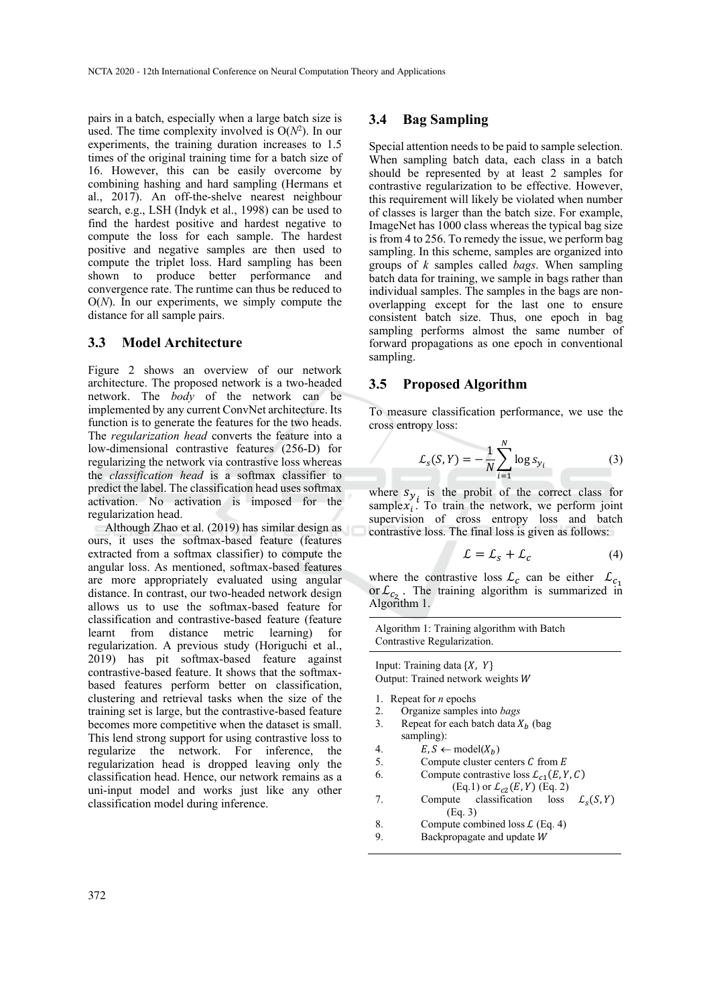pairs in a batch, especially when a large batch size is used. The time complexity involved is  $O(N^2)$ . In our experiments, the training duration increases to 1.5 times of the original training time for a batch size of 16. However, this can be easily overcome by combining hashing and hard sampling (Hermans et al., 2017). An off-the-shelve nearest neighbour search, e.g., LSH (Indyk et al., 1998) can be used to find the hardest positive and hardest negative to compute the loss for each sample. The hardest positive and negative samples are then used to compute the triplet loss. Hard sampling has been shown to produce better performance and convergence rate. The runtime can thus be reduced to O(*N*). In our experiments, we simply compute the distance for all sample pairs.

#### **3.3 Model Architecture**

Figure 2 shows an overview of our network architecture. The proposed network is a two-headed network. The *body* of the network can be implemented by any current ConvNet architecture. Its function is to generate the features for the two heads. The *regularization head* converts the feature into a low-dimensional contrastive features (256-D) for regularizing the network via contrastive loss whereas the *classification head* is a softmax classifier to predict the label. The classification head uses softmax activation. No activation is imposed for the regularization head.

Although Zhao et al. (2019) has similar design as ours, it uses the softmax-based feature (features extracted from a softmax classifier) to compute the angular loss. As mentioned, softmax-based features are more appropriately evaluated using angular distance. In contrast, our two-headed network design allows us to use the softmax-based feature for classification and contrastive-based feature (feature learnt from distance metric learning) regularization. A previous study (Horiguchi et al., 2019) has pit softmax-based feature against contrastive-based feature. It shows that the softmaxbased features perform better on classification, clustering and retrieval tasks when the size of the training set is large, but the contrastive-based feature becomes more competitive when the dataset is small. This lend strong support for using contrastive loss to regularize the network. For inference, the regularization head is dropped leaving only the classification head. Hence, our network remains as a uni-input model and works just like any other classification model during inference.

#### **3.4 Bag Sampling**

Special attention needs to be paid to sample selection. When sampling batch data, each class in a batch should be represented by at least 2 samples for contrastive regularization to be effective. However, this requirement will likely be violated when number of classes is larger than the batch size. For example, ImageNet has 1000 class whereas the typical bag size is from 4 to 256. To remedy the issue, we perform bag sampling. In this scheme, samples are organized into groups of *k* samples called *bags*. When sampling batch data for training, we sample in bags rather than individual samples. The samples in the bags are nonoverlapping except for the last one to ensure consistent batch size. Thus, one epoch in bag sampling performs almost the same number of forward propagations as one epoch in conventional sampling.

#### **3.5 Proposed Algorithm**

To measure classification performance, we use the cross entropy loss:

$$
\mathcal{L}_s(S, Y) = -\frac{1}{N} \sum_{i=1}^N \log s_{y_i} \tag{3}
$$

where  $s_{y_i}$  is the probit of the correct class for sample  $x_i$ . To train the network, we perform joint supervision of cross entropy loss and batch contrastive loss. The final loss is given as follows:

$$
\mathcal{L} = \mathcal{L}_s + \mathcal{L}_c \tag{4}
$$

where the contrastive loss  $\mathcal{L}_c$  can be either  $\mathcal{L}_{c_1}$ or  $\mathcal{L}_{c_2}$ . The training algorithm is summarized in Algorithm 1.

Algorithm 1: Training algorithm with Batch Contrastive Regularization.

Input: Training data  $\{X, Y\}$ Output: Trained network weights

- 1. Repeat for *n* epochs
- 2. Organize samples into *bags*
- 3. Repeat for each batch data  $X_h$  (bag sampling):
- 4.  $E, S \leftarrow model(X_b)$ <br>5. Compute cluster compute
- Compute cluster centers  $C$  from  $E$
- 6. Compute contrastive loss  $\mathcal{L}_{c1}(E, Y, C)$
- (Eq.1) or  $\mathcal{L}_{c2}(E, Y)$  (Eq. 2) 7. Compute classification loss  $\mathcal{L}_s(S, Y)$  (Eq. 3) 8. Compute combined loss  $\mathcal{L}$  (Eq. 4)
- 9. Backpropagate and update W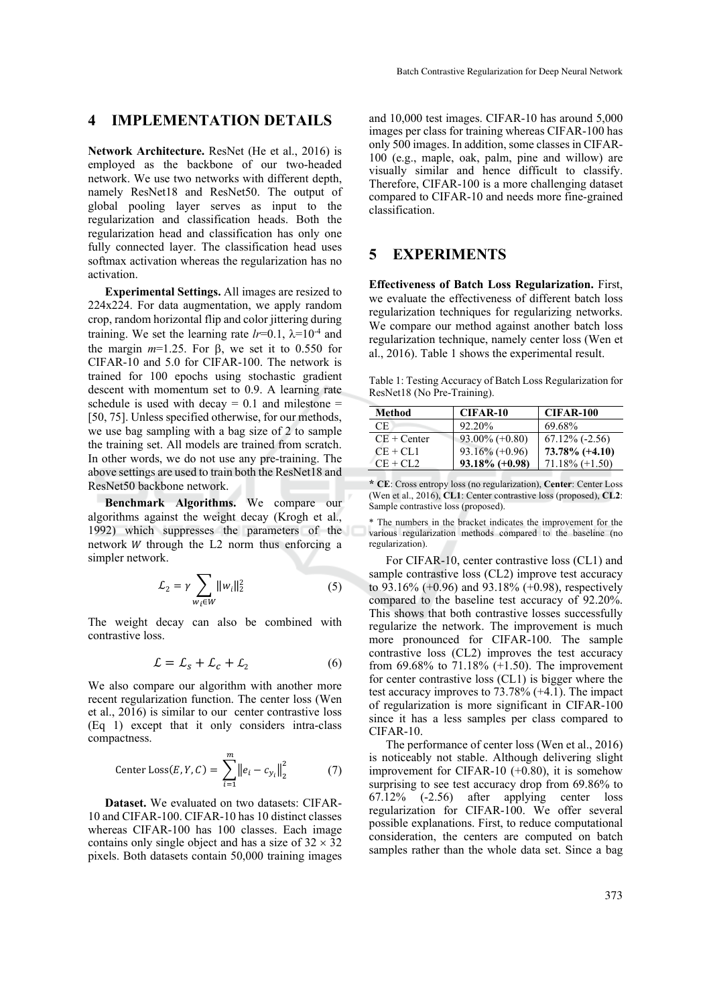### **4 IMPLEMENTATION DETAILS**

**Network Architecture.** ResNet (He et al., 2016) is employed as the backbone of our two-headed network. We use two networks with different depth, namely ResNet18 and ResNet50. The output of global pooling layer serves as input to the regularization and classification heads. Both the regularization head and classification has only one fully connected layer. The classification head uses softmax activation whereas the regularization has no activation.

**Experimental Settings.** All images are resized to 224x224. For data augmentation, we apply random crop, random horizontal flip and color jittering during training. We set the learning rate  $lr=0.1$ ,  $\lambda=10^{-4}$  and the margin  $m=1.25$ . For  $\beta$ , we set it to 0.550 for CIFAR-10 and 5.0 for CIFAR-100. The network is trained for 100 epochs using stochastic gradient descent with momentum set to 0.9. A learning rate schedule is used with decay  $= 0.1$  and milestone  $=$ [50, 75]. Unless specified otherwise, for our methods, we use bag sampling with a bag size of 2 to sample the training set. All models are trained from scratch. In other words, we do not use any pre-training. The above settings are used to train both the ResNet18 and ResNet50 backbone network.

**Benchmark Algorithms.** We compare our algorithms against the weight decay (Krogh et al., 1992) which suppresses the parameters of the network  $W$  through the  $L2$  norm thus enforcing a simpler network.

$$
\mathcal{L}_2 = \gamma \sum_{w_i \in W} ||w_i||_2^2 \tag{5}
$$

The weight decay can also be combined with contrastive loss.

$$
\mathcal{L} = \mathcal{L}_s + \mathcal{L}_c + \mathcal{L}_2 \tag{6}
$$

We also compare our algorithm with another more recent regularization function. The center loss (Wen et al., 2016) is similar to our center contrastive loss (Eq 1) except that it only considers intra-class compactness.

Center Loss(E, Y, C) = 
$$
\sum_{i=1}^{m} ||e_i - c_{y_i}||_2^2
$$
 (7)

**Dataset.** We evaluated on two datasets: CIFAR-10 and CIFAR-100. CIFAR-10 has 10 distinct classes whereas CIFAR-100 has 100 classes. Each image contains only single object and has a size of  $32 \times 32$ pixels. Both datasets contain 50,000 training images

and 10,000 test images. CIFAR-10 has around 5,000 images per class for training whereas CIFAR-100 has only 500 images. In addition, some classes in CIFAR-100 (e.g., maple, oak, palm, pine and willow) are visually similar and hence difficult to classify. Therefore, CIFAR-100 is a more challenging dataset compared to CIFAR-10 and needs more fine-grained classification.

## **5 EXPERIMENTS**

**Effectiveness of Batch Loss Regularization.** First, we evaluate the effectiveness of different batch loss regularization techniques for regularizing networks. We compare our method against another batch loss regularization technique, namely center loss (Wen et al., 2016). Table 1 shows the experimental result.

Table 1: Testing Accuracy of Batch Loss Regularization for ResNet18 (No Pre-Training).

| Method        | CIFAR-10          | CIFAR-100         |
|---------------|-------------------|-------------------|
| СE            | 92.20%            | 69.68%            |
| $CE + Center$ | $93.00\%$ (+0.80) | $67.12\%$ (-2.56) |
| $CE + CL1$    | $93.16\% (+0.96)$ | $73.78\%$ (+4.10) |
| $CE + CL2$    | $93.18\%$ (+0.98) | $71.18\% (+1.50)$ |

**<sup>\*</sup> CE**: Cross entropy loss (no regularization), **Center**: Center Loss (Wen et al., 2016), **CL1**: Center contrastive loss (proposed), **CL2**: Sample contrastive loss (proposed).

\* The numbers in the bracket indicates the improvement for the various regularization methods compared to the baseline (no regularization).

For CIFAR-10, center contrastive loss (CL1) and sample contrastive loss (CL2) improve test accuracy to 93.16% (+0.96) and 93.18% (+0.98), respectively compared to the baseline test accuracy of 92.20%. This shows that both contrastive losses successfully regularize the network. The improvement is much more pronounced for CIFAR-100. The sample contrastive loss (CL2) improves the test accuracy from 69.68% to 71.18%  $(+1.50)$ . The improvement for center contrastive loss (CL1) is bigger where the test accuracy improves to 73.78% (+4.1). The impact of regularization is more significant in CIFAR-100 since it has a less samples per class compared to CIFAR-10.

The performance of center loss (Wen et al., 2016) is noticeably not stable. Although delivering slight improvement for CIFAR-10 (+0.80), it is somehow surprising to see test accuracy drop from 69.86% to 67.12% (-2.56) after applying center loss regularization for CIFAR-100. We offer several possible explanations. First, to reduce computational consideration, the centers are computed on batch samples rather than the whole data set. Since a bag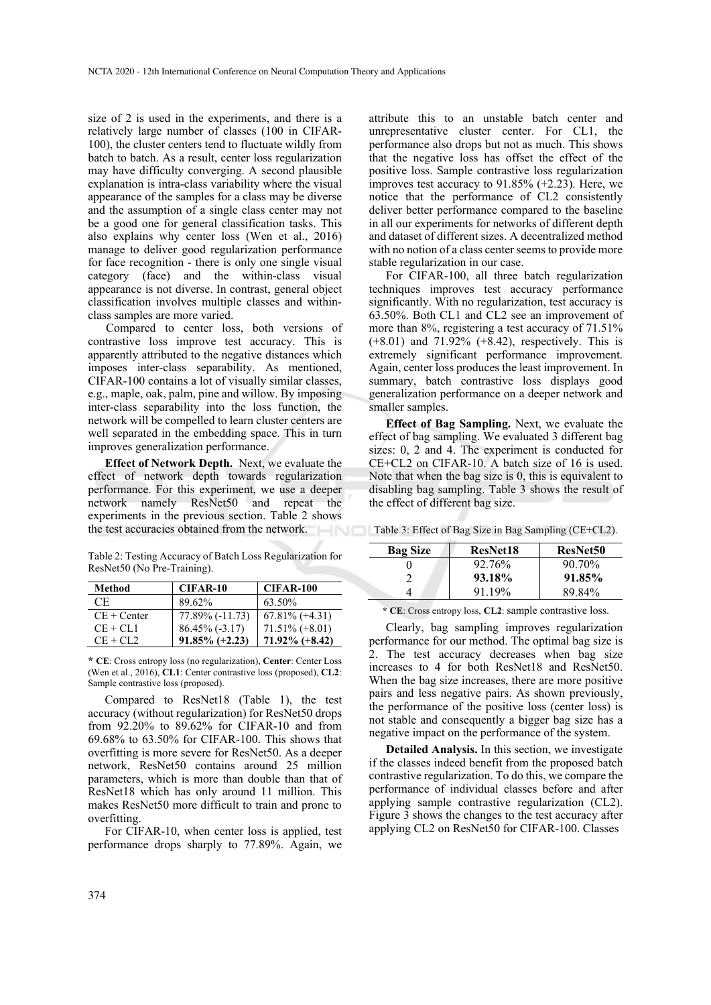size of 2 is used in the experiments, and there is a relatively large number of classes (100 in CIFAR-100), the cluster centers tend to fluctuate wildly from batch to batch. As a result, center loss regularization may have difficulty converging. A second plausible explanation is intra-class variability where the visual appearance of the samples for a class may be diverse and the assumption of a single class center may not be a good one for general classification tasks. This also explains why center loss (Wen et al., 2016) manage to deliver good regularization performance for face recognition - there is only one single visual category (face) and the within-class visual appearance is not diverse. In contrast, general object classification involves multiple classes and withinclass samples are more varied.

Compared to center loss, both versions of contrastive loss improve test accuracy. This is apparently attributed to the negative distances which imposes inter-class separability. As mentioned, CIFAR-100 contains a lot of visually similar classes, e.g., maple, oak, palm, pine and willow. By imposing inter-class separability into the loss function, the network will be compelled to learn cluster centers are well separated in the embedding space. This in turn improves generalization performance.

**Effect of Network Depth.** Next, we evaluate the effect of network depth towards regularization performance. For this experiment, we use a deeper network namely ResNet50 and repeat the experiments in the previous section. Table 2 shows the test accuracies obtained from the network.

Table 2: Testing Accuracy of Batch Loss Regularization for ResNet50 (No Pre-Training).

| Method        | CIFAR-10          | CIFAR-100         |
|---------------|-------------------|-------------------|
| CE.           | 89.62%            | 63.50%            |
| $CE + Center$ | 77.89% (-11.73)   | $67.81\%$ (+4.31) |
| $CE + CL1$    | $86.45\%$ (-3.17) | $71.51\% (+8.01)$ |
| $CE + CL2$    | $91.85\%$ (+2.23) | $71.92\%$ (+8.42) |

**\* CE**: Cross entropy loss (no regularization), **Center**: Center Loss (Wen et al., 2016), **CL1**: Center contrastive loss (proposed), **CL2**: Sample contrastive loss (proposed).

Compared to ResNet18 (Table 1), the test accuracy (without regularization) for ResNet50 drops from 92.20% to 89.62% for CIFAR-10 and from 69.68% to 63.50% for CIFAR-100. This shows that overfitting is more severe for ResNet50. As a deeper network, ResNet50 contains around 25 million parameters, which is more than double than that of ResNet18 which has only around 11 million. This makes ResNet50 more difficult to train and prone to overfitting.

For CIFAR-10, when center loss is applied, test performance drops sharply to 77.89%. Again, we

attribute this to an unstable batch center and unrepresentative cluster center. For CL1, the performance also drops but not as much. This shows that the negative loss has offset the effect of the positive loss. Sample contrastive loss regularization improves test accuracy to 91.85% (+2.23). Here, we notice that the performance of CL2 consistently deliver better performance compared to the baseline in all our experiments for networks of different depth and dataset of different sizes. A decentralized method with no notion of a class center seems to provide more stable regularization in our case.

For CIFAR-100, all three batch regularization techniques improves test accuracy performance significantly. With no regularization, test accuracy is 63.50%. Both CL1 and CL2 see an improvement of more than 8%, registering a test accuracy of 71.51% (+8.01) and 71.92% (+8.42), respectively. This is extremely significant performance improvement. Again, center loss produces the least improvement. In summary, batch contrastive loss displays good generalization performance on a deeper network and smaller samples.

**Effect of Bag Sampling.** Next, we evaluate the effect of bag sampling. We evaluated 3 different bag sizes: 0, 2 and 4. The experiment is conducted for CE+CL2 on CIFAR-10. A batch size of 16 is used. Note that when the bag size is 0, this is equivalent to disabling bag sampling. Table 3 shows the result of the effect of different bag size.

Table 3: Effect of Bag Size in Bag Sampling (CE+CL2).

| <b>Bag Size</b> | <b>ResNet18</b> | <b>ResNet50</b> |
|-----------------|-----------------|-----------------|
|                 | 92.76%          | 90.70%          |
|                 | 93.18%          | 91.85%          |
|                 | 91.19%          | 89.84%          |

**\* CE**: Cross entropy loss, **CL2**: sample contrastive loss.

Clearly, bag sampling improves regularization performance for our method. The optimal bag size is 2. The test accuracy decreases when bag size increases to 4 for both ResNet18 and ResNet50. When the bag size increases, there are more positive pairs and less negative pairs. As shown previously, the performance of the positive loss (center loss) is not stable and consequently a bigger bag size has a negative impact on the performance of the system.

**Detailed Analysis.** In this section, we investigate if the classes indeed benefit from the proposed batch contrastive regularization. To do this, we compare the performance of individual classes before and after applying sample contrastive regularization (CL2). Figure 3 shows the changes to the test accuracy after applying CL2 on ResNet50 for CIFAR-100. Classes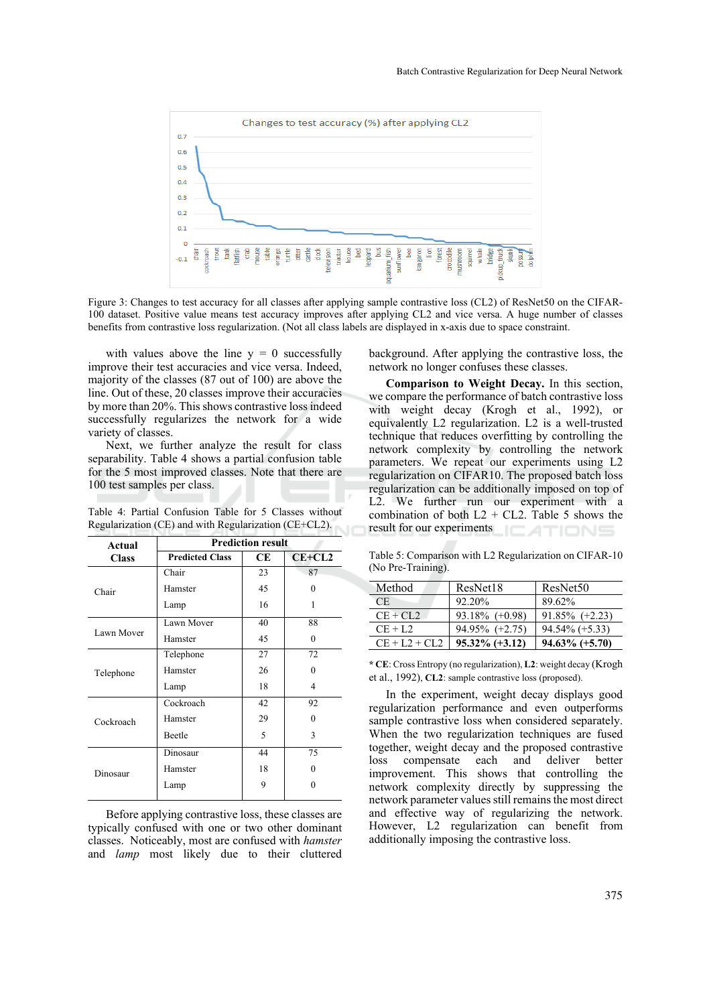

Figure 3: Changes to test accuracy for all classes after applying sample contrastive loss (CL2) of ResNet50 on the CIFAR-100 dataset. Positive value means test accuracy improves after applying CL2 and vice versa. A huge number of classes benefits from contrastive loss regularization. (Not all class labels are displayed in x-axis due to space constraint.

with values above the line  $y = 0$  successfully improve their test accuracies and vice versa. Indeed, majority of the classes (87 out of 100) are above the line. Out of these, 20 classes improve their accuracies by more than 20%. This shows contrastive loss indeed successfully regularizes the network for a wide variety of classes.

Next, we further analyze the result for class separability. Table 4 shows a partial confusion table for the 5 most improved classes. Note that there are 100 test samples per class.

Table 4: Partial Confusion Table for 5 Classes without Regularization (CE) and with Regularization (CE+CL2).

| Actual       | <b>Prediction result</b> |    |          |
|--------------|--------------------------|----|----------|
| <b>Class</b> | <b>Predicted Class</b>   | CЕ | $CE+CL2$ |
| Chair        | Chair                    | 23 | 87       |
|              | Hamster                  | 45 | 0        |
|              | Lamp                     | 16 | 1        |
| Lawn Mover   | Lawn Mover               | 40 | 88       |
|              | Hamster                  | 45 | 0        |
| Telephone    | Telephone                | 27 | 72       |
|              | Hamster                  | 26 | 0        |
|              | Lamp                     | 18 | 4        |
| Cockroach    | Cockroach                | 42 | 92       |
|              | Hamster                  | 29 | $\Omega$ |
|              | <b>Beetle</b>            | 5  | 3        |
| Dinosaur     | Dinosaur                 | 44 | 75       |
|              | Hamster                  | 18 | $\Omega$ |
|              | Lamp                     | 9  |          |

Before applying contrastive loss, these classes are typically confused with one or two other dominant classes. Noticeably, most are confused with *hamster* and *lamp* most likely due to their cluttered

background. After applying the contrastive loss, the network no longer confuses these classes.

**Comparison to Weight Decay.** In this section, we compare the performance of batch contrastive loss with weight decay (Krogh et al., 1992), or equivalently L2 regularization. L2 is a well-trusted technique that reduces overfitting by controlling the network complexity by controlling the network parameters. We repeat our experiments using L2 regularization on CIFAR10. The proposed batch loss regularization can be additionally imposed on top of L2. We further run our experiment with a combination of both  $L2 + CL2$ . Table 5 shows the result for our experiments  $\subset$ ATIONS

Table 5: Comparison with L2 Regularization on CIFAR-10 (No Pre-Training).

| Method          | ResNet18          | ResNet <sub>50</sub> |
|-----------------|-------------------|----------------------|
| CE.             | 92.20%            | 89.62%               |
| $CE + CL2$      | $93.18\%$ (+0.98) | $91.85\%$ (+2.23)    |
| $CE + L2$       | $94.95\%$ (+2.75) | $94.54\% (+5.33)$    |
| $CE + L2 + CL2$ | $95.32\%$ (+3.12) | $94.63\%$ (+5.70)    |

**\* CE**: Cross Entropy (no regularization), **L2**: weight decay (Krogh et al., 1992), **CL2**: sample contrastive loss (proposed).

In the experiment, weight decay displays good regularization performance and even outperforms sample contrastive loss when considered separately. When the two regularization techniques are fused together, weight decay and the proposed contrastive loss compensate each and deliver better improvement. This shows that controlling the network complexity directly by suppressing the network parameter values still remains the most direct and effective way of regularizing the network. However, L2 regularization can benefit from additionally imposing the contrastive loss.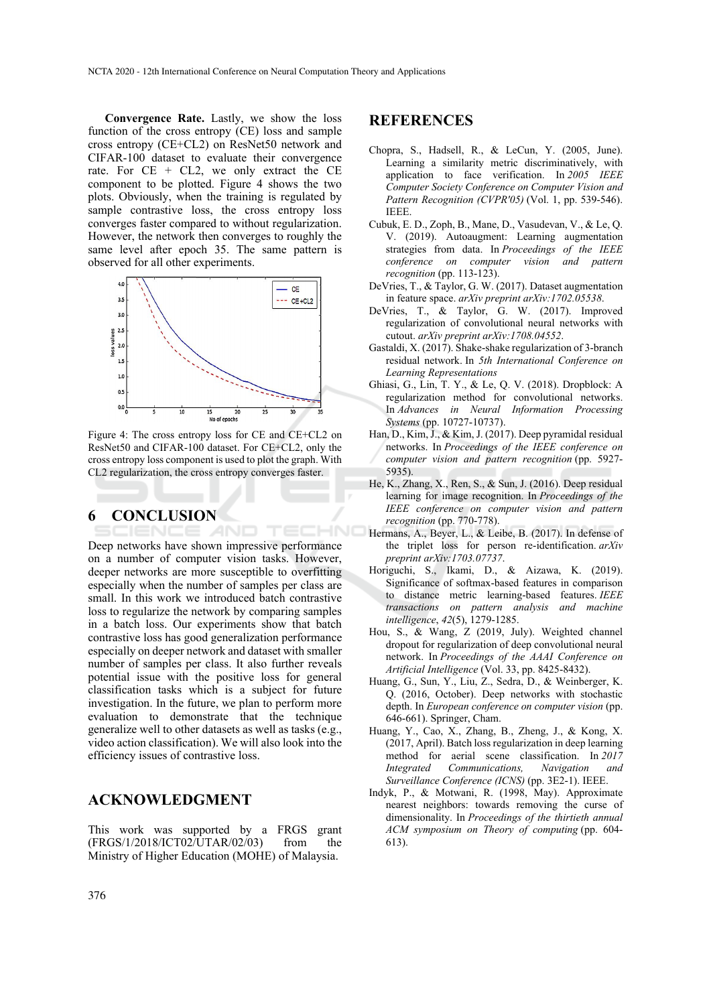**Convergence Rate.** Lastly, we show the loss function of the cross entropy (CE) loss and sample cross entropy (CE+CL2) on ResNet50 network and CIFAR-100 dataset to evaluate their convergence rate. For  $CE + CL2$ , we only extract the  $CE$ component to be plotted. Figure 4 shows the two plots. Obviously, when the training is regulated by sample contrastive loss, the cross entropy loss converges faster compared to without regularization. However, the network then converges to roughly the same level after epoch 35. The same pattern is observed for all other experiments.



Figure 4: The cross entropy loss for CE and CE+CL2 on ResNet50 and CIFAR-100 dataset. For CE+CL2, only the cross entropy loss component is used to plot the graph. With CL2 regularization, the cross entropy converges faster.

TECHNO

#### **6 CONCLUSION**  AND

Deep networks have shown impressive performance on a number of computer vision tasks. However, deeper networks are more susceptible to overfitting especially when the number of samples per class are small. In this work we introduced batch contrastive loss to regularize the network by comparing samples in a batch loss. Our experiments show that batch contrastive loss has good generalization performance especially on deeper network and dataset with smaller number of samples per class. It also further reveals potential issue with the positive loss for general classification tasks which is a subject for future investigation. In the future, we plan to perform more evaluation to demonstrate that the technique generalize well to other datasets as well as tasks (e.g., video action classification). We will also look into the efficiency issues of contrastive loss.

### **ACKNOWLEDGMENT**

This work was supported by a FRGS grant (FRGS/1/2018/ICT02/UTAR/02/03) from the Ministry of Higher Education (MOHE) of Malaysia.

### **REFERENCES**

- Chopra, S., Hadsell, R., & LeCun, Y. (2005, June). Learning a similarity metric discriminatively, with application to face verification. In *2005 IEEE Computer Society Conference on Computer Vision and Pattern Recognition (CVPR'05)* (Vol. 1, pp. 539-546). IEEE.
- Cubuk, E. D., Zoph, B., Mane, D., Vasudevan, V., & Le, Q. V. (2019). Autoaugment: Learning augmentation strategies from data. In *Proceedings of the IEEE conference on computer vision and pattern recognition* (pp. 113-123).
- DeVries, T., & Taylor, G. W. (2017). Dataset augmentation in feature space. *arXiv preprint arXiv:1702.05538*.
- DeVries, T., & Taylor, G. W. (2017). Improved regularization of convolutional neural networks with cutout. *arXiv preprint arXiv:1708.04552*.
- Gastaldi, X. (2017). Shake-shake regularization of 3-branch residual network. In *5th International Conference on Learning Representations*
- Ghiasi, G., Lin, T. Y., & Le, Q. V. (2018). Dropblock: A regularization method for convolutional networks. In *Advances in Neural Information Processing Systems* (pp. 10727-10737).
- Han, D., Kim, J., & Kim, J. (2017). Deep pyramidal residual networks. In *Proceedings of the IEEE conference on computer vision and pattern recognition* (pp. 5927- 5935).
- He, K., Zhang, X., Ren, S., & Sun, J. (2016). Deep residual learning for image recognition. In *Proceedings of the IEEE conference on computer vision and pattern recognition* (pp. 770-778).
- Hermans, A., Beyer, L., & Leibe, B. (2017). In defense of the triplet loss for person re-identification. *arXiv preprint arXiv:1703.07737*.
- Horiguchi, S., Ikami, D., & Aizawa, K. (2019). Significance of softmax-based features in comparison to distance metric learning-based features. *IEEE transactions on pattern analysis and machine intelligence*, *42*(5), 1279-1285.
- Hou, S., & Wang, Z (2019, July). Weighted channel dropout for regularization of deep convolutional neural network. In *Proceedings of the AAAI Conference on Artificial Intelligence* (Vol. 33, pp. 8425-8432).
- Huang, G., Sun, Y., Liu, Z., Sedra, D., & Weinberger, K. Q. (2016, October). Deep networks with stochastic depth. In *European conference on computer vision* (pp. 646-661). Springer, Cham.
- Huang, Y., Cao, X., Zhang, B., Zheng, J., & Kong, X. (2017, April). Batch loss regularization in deep learning method for aerial scene classification. In *2017 Integrated Communications, Navigation and Surveillance Conference (ICNS)* (pp. 3E2-1). IEEE.
- Indyk, P., & Motwani, R. (1998, May). Approximate nearest neighbors: towards removing the curse of dimensionality. In *Proceedings of the thirtieth annual ACM symposium on Theory of computing* (pp. 604- 613).